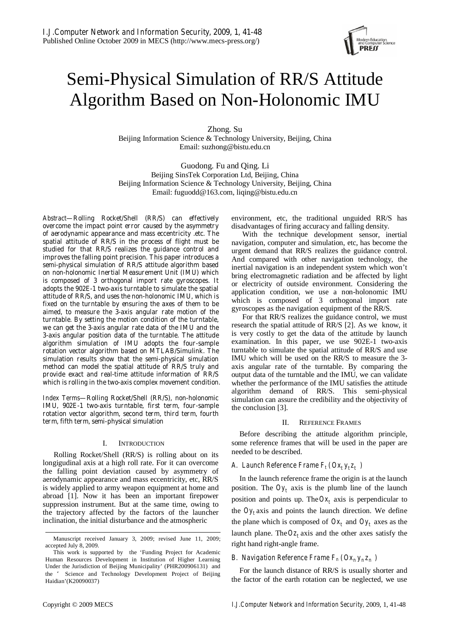

# Semi-Physical Simulation of RR/S Attitude Algorithm Based on Non-Holonomic IMU

Zhong. Su Beijing Information Science & Technology University, Beijing, China Email: suzhong@bistu.edu.cn

Guodong. Fu and Qing. Li Beijing SinsTek Corporation Ltd, Beijing, China Beijing Information Science & Technology University, Beijing, China Email: fuguodd@163.com, liqing@bistu.edu.cn

*Abstract***—Rolling Rocket/Shell (RR/S) can effectively overcome the impact point error caused by the asymmetry of aerodynamic appearance and mass eccentricity .etc. The spatial attitude of RR/S in the process of flight must be studied for that RR/S realizes the guidance control and improves the falling point precision. This paper introduces a semi-physical simulation of RR/S attitude algorithm based on non-holonomic Inertial Measurement Unit (IMU) which is composed of 3 orthogonal import rate gyroscopes. It adopts the 902E-1 two-axis turntable to simulate the spatial attitude of RR/S, and uses the non-holonomic IMU, which is fixed on the turntable by ensuring the axes of them to be aimed, to measure the 3-axis angular rate motion of the turntable. By setting the motion condition of the turntable, we can get the 3-axis angular rate data of the IMU and the 3-axis angular position data of the turntable. The attitude algorithm simulation of IMU adopts the four-sample rotation vector algorithm based on MTLAB/Simulink. The simulation results show that the semi-physical simulation method can model the spatial attitude of RR/S truly and provide exact and real-time attitude information of RR/S which is rolling in the two-axis complex movement condition.** 

*Index Terms***—Rolling Rocket/Shell (RR/S), non-holonomic IMU, 902E-1 two-axis turntable, first term, four-sample rotation vector algorithm, second term, third term, fourth term, fifth term, semi-physical simulation** 

## I. INTRODUCTION

Rolling Rocket/Shell (RR/S) is rolling about on its longigudinal axis at a high roll rate. For it can overcome the falling point deviation caused by asymmetry of aerodynamic appearance and mass eccentricity, etc, RR/S is widely applied to army weapon equipment at home and abroad [1]. Now it has been an important firepower suppression instrument. But at the same time, owing to the trajectory affected by the factors of the launcher inclination, the initial disturbance and the atmospheric

environment, etc, the traditional unguided RR/S has disadvantages of firing accuracy and falling density.

With the technique development sensor, inertial navigation, computer and simulation, etc, has become the urgent demand that RR/S realizes the guidance control. And compared with other navigation technology, the inertial navigation is an independent system which won't bring electromagnetic radiation and be affected by light or electricity of outside environment. Considering the application condition, we use a non-holonomic IMU which is composed of 3 orthogonal import rate gyroscopes as the navigation equipment of the RR/S.

For that RR/S realizes the guidance control, we must research the spatial attitude of RR/S [2]. As we know, it is very costly to get the data of the attitude by launch examination. In this paper, we use 902E-1 two-axis turntable to simulate the spatial attitude of RR/S and use IMU which will be used on the RR/S to measure the 3 axis angular rate of the turntable. By comparing the output data of the turntable and the IMU, we can validate whether the performance of the IMU satisfies the attitude algorithm demand of RR/S. This semi-physical simulation can assure the credibility and the objectivity of the conclusion [3].

# II. REFERENCE FRAMES

Before describing the attitude algorithm principle, some reference frames that will be used in the paper are needed to be described.

# *A. Launch Reference Frame*  $F_t$  *(* $Ox_t$  $y_t z_t$ *)*

In the launch reference frame the origin is at the launch position. The  $Oy_t$  axis is the plumb line of the launch position and points up. The  $Ox_t$  axis is perpendicular to the  $Oy_t$  axis and points the launch direction. We define the plane which is composed of  $Ox_t$  and  $Oy_t$  axes as the launch plane. The  $Oz_t$  axis and the other axes satisfy the right hand right-angle frame.

# *B. Navigation Reference Frame*  $F_n( Ox_n y_n z_n )$

For the launch distance of RR/S is usually shorter and the factor of the earth rotation can be neglected, we use

Manuscript received January 3, 2009; revised June 11, 2009; accepted July 8, 2009.

This work is supported by the 'Funding Project for Academic Human Resources Development in Institution of Higher Learning Under the Jurisdiction of Beijing Municipality' (PHR200906131) and the ' Science and Technology Development Project of Beijing Haidian'(K20090037)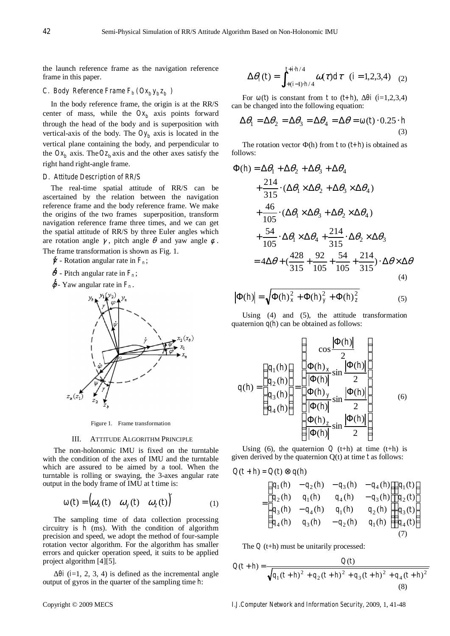the launch reference frame as the navigation reference frame in this paper.

# *C. Body Reference Frame*  $F_b$  *(* $Ox_by_bz_b$ *)*

In the body reference frame, the origin is at the RR/S center of mass, while the  $Ox<sub>b</sub>$  axis points forward through the head of the body and is superposition with vertical-axis of the body. The  $Oy_b$  axis is located in the vertical plane containing the body, and perpendicular to the  $Ox_h$  axis. The  $Oz_h$  axis and the other axes satisfy the right hand right-angle frame.

#### *D. Attitude Description of RR/S*

The real-time spatial attitude of RR/S can be ascertained by the relation between the navigation reference frame and the body reference frame. We make the origins of the two frames superposition, transform navigation reference frame three times, and we can get the spatial attitude of RR/S by three Euler angles which are rotation angle  $\gamma$ , pitch angle  $\theta$  and yaw angle  $\phi$ . The frame transformation is shown as Fig. 1.

- <sup>γ</sup>& Rotation angular rate in *Fn* ;
- $\oint$  Pitch angular rate in  $F_n$ ;
- $\oint$  Yaw angular rate in  $F_n$ .





#### III. ATTITUDE ALGORITHM PRINCIPLE

The non-holonomic IMU is fixed on the turntable with the condition of the axes of IMU and the turntable which are assured to be aimed by a tool. When the turntable is rolling or swaying, the 3-axes angular rate output in the body frame of IMU at *t* time is:

$$
(t) = \begin{pmatrix} \omega_x(t) & \omega_y(t) & \omega_z(t) \end{pmatrix}' \tag{1}
$$

The sampling time of data collection processing circuitry is *h* (ms). With the condition of algorithm precision and speed, we adopt the method of four-sample rotation vector algorithm. For the algorithm has smaller errors and quicker operation speed, it suits to be applied project algorithm [4][5].

 $i$  ( $i=1, 2, 3, 4$ ) is defined as the incremental angle output of gyros in the quarter of the sampling time *h*:

$$
\Delta \theta_i(t) = \int_{t + (i-1) \cdot h/4}^{t + i \cdot h/4} \omega(\tau) d\tau \quad (i = 1, 2, 3, 4) \quad (2)
$$

For (*t*) is constant from *t* to  $(t+h)$ , *i* ( $i=1,2,3,4$ ) can be changed into the following equation:

$$
\Delta \theta_1 = \Delta \theta_2 = \Delta \theta_3 = \Delta \theta_4 = \Delta \theta = (t) \cdot 0.25 \cdot h
$$
\n(3)

The rotation vector (h) from *t* to  $(t+h)$  is obtained as follows:

$$
\Phi(h) = \Delta\theta_1 + \Delta\theta_2 + \Delta\theta_3 + \Delta\theta_4
$$
  
+ 
$$
\frac{214}{315} \cdot (\Delta\theta_1 \times \Delta\theta_2 + \Delta\theta_3 \times \Delta\theta_4)
$$
  
+ 
$$
\frac{46}{105} \cdot (\Delta\theta_1 \times \Delta\theta_3 + \Delta\theta_2 \times \Delta\theta_4)
$$
  
+ 
$$
\frac{54}{105} \cdot \Delta\theta_1 \times \Delta\theta_4 + \frac{214}{315} \cdot \Delta\theta_2 \times \Delta\theta_3
$$
  
= 
$$
4\Delta\theta + (\frac{428}{315} + \frac{92}{105} + \frac{54}{105} + \frac{214}{315}) \cdot \Delta\theta \times \Delta\theta
$$
  
(4)

$$
|\Phi(h)| = \sqrt{\Phi(h)_x^2 + \Phi(h)_y^2 + \Phi(h)_z^2}
$$
 (5)

Using (4) and (5), the attitude transformation quaternion  $q(h)$  can be obtained as follows:

$$
q(h) = \begin{pmatrix} q_1(h) \\ q_2(h) \\ q_3(h) \\ q_4(h) \end{pmatrix} = \begin{pmatrix} \cos\frac{|\Phi(h)|}{2} \\ \frac{\Phi(h)_x}{|\Phi(h)|} \sin\frac{|\Phi(h)|}{2} \\ \frac{\Phi(h)_y}{|\Phi(h)|} \sin\frac{|\Phi(h)|}{2} \\ \frac{\Phi(h)_z}{|\Phi(h)|} \sin\frac{|\Phi(h)|}{2} \end{pmatrix}
$$
(6)

Using (6), the quaternion  $Q$  (t+h) at time (t+h) is given derived by the quaternion Q(t) at time *t* as follows:

$$
Q(t+h) = Q(t) \otimes q(h)
$$
  
= 
$$
\begin{pmatrix} q_1(h) & -q_2(h) & -q_3(h) & -q_4(h) \\ q_2(h) & q_1(h) & q_4(h) & -q_3(h) \\ q_3(h) & -q_4(h) & q_1(h) & q_2(h) \\ q_4(h) & q_3(h) & -q_2(h) & q_1(h) \end{pmatrix} \begin{pmatrix} q_1(t) \\ q_2(t) \\ q_3(t) \\ q_4(t) \end{pmatrix}
$$

The *Q* (t+h) must be unitarily processed:

$$
Q(t+h) = \frac{Q(t)}{\sqrt{q_1(t+h)^2 + q_2(t+h)^2 + q_3(t+h)^2 + q_4(t+h)^2}}
$$
\n(8)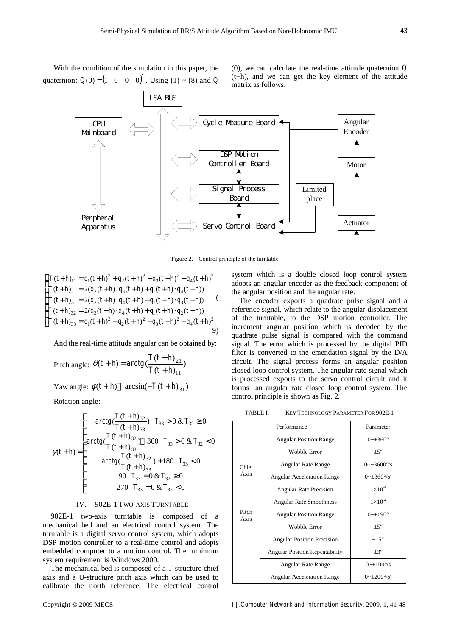With the condition of the simulation in this paper, the quaternion:  $Q(0) = (1 \ 0 \ 0 \ 0)$ . Using (1) ~ (8) and *Q*  (0), we can calculate the real-time attitude quaternion *Q* (t+h), and we can get the key element of the attitude matrix as follows:



Figure 2. Control principle of the turntable

$$
\begin{cases}\nT(t+h)_{11} = q_1(t+h)^2 + q_2(t+h)^2 - q_3(t+h)^2 - q_4(t+h)^2 \\
T(t+h)_{21} = 2(q_2(t+h) \cdot q_3(t+h) + q_1(t+h) \cdot q_4(t+h)) \\
T(t+h)_{31} = 2(q_2(t+h) \cdot q_4(t+h) - q_1(t+h) \cdot q_3(t+h)) \\
T(t+h)_{32} = 2(q_3(t+h) \cdot q_4(t+h) + q_1(t+h) \cdot q_2(t+h)) \\
T(t+h)_{33} = q_1(t+h)^2 - q_2(t+h)^2 - q_3(t+h)^2 + q_4(t+h)^2\n\end{cases}
$$
\n(9)

And the real-time attitude angular can be obtained by:

Pitch angle:  $\theta(t+h) = \arctg\left(\frac{T(t+h)_{21}}{T(t+h)_{11}}\right)$ 11 21  $T(t+h$  $a_t + h) = \arctg\left(\frac{T(t+h)}{T(t+h)}\right)$ +  $\theta(t+h) = \arctg\left(\frac{T(t+h)}{T}\right)$ 

Yaw angle:  $\phi(t+h)$  arcsin( $-T(t+h)_{31}$ )

Rotation angle:

$$
\gamma(t+h) = \begin{cases}\n\arctg\left(\frac{T(t+h)_{32}}{T(t+h)_{33}}\right) & T_{33} > 0 \& T_{32} \ge 0 \\
\arctg\left(\frac{T(t+h)_{32}}{T(t+h)_{33}}\right) & 360 & T_{33} > 0 \& T_{32} < 0 \\
\arctg\left(\frac{T(t+h)_{32}}{T(t+h)_{33}}\right) + 180 & T_{33} < 0 \\
90 & T_{33} = 0 \& T_{32} \ge 0 \\
270 & T_{33} = 0 \& T_{32} < 0\n\end{cases}
$$

#### IV. 902E-1 TWO-AXIS TURNTABLE

902E-1 two-axis turntable is composed of a mechanical bed and an electrical control system. The turntable is a digital servo control system, which adopts DSP motion controller to a real-time control and adopts embedded computer to a motion control. The minimum system requirement is Windows 2000.

The mechanical bed is composed of a T-structure chief axis and a U-structure pitch axis which can be used to calibrate the north reference. The electrical control

system which is a double closed loop control system adopts an angular encoder as the feedback component of the angular position and the angular rate.

The encoder exports a quadrate pulse signal and a reference signal, which relate to the angular displacement of the turntable, to the DSP motion controller. The increment angular position which is decoded by the quadrate pulse signal is compared with the command signal. The error which is processed by the digital PID filter is converted to the emendation signal by the D/A circuit. The signal process forms an angular position closed loop control system. The angular rate signal which is processed exports to the servo control circuit and it forms an angular rate closed loop control system. The control principle is shown as Fig. 2.

TABLE I. KEY TECHNOLOGY PARAMETER FOR 902E-1

|               | Performance                           | Parameter                    |
|---------------|---------------------------------------|------------------------------|
| Chief<br>Axis | <b>Angular Position Range</b>         | $0 \sim \pm 360^{\circ}$     |
|               | Wobble Error                          | $+5$                         |
|               | Angular Rate Range                    | $0 \sim \pm 3600$ %          |
|               | <b>Angular Acceleration Range</b>     | $0 \sim +360^{\circ}/s^2$    |
|               | <b>Angular Rate Precision</b>         | $1\times10^4$                |
|               | <b>Angular Rate Smoothness</b>        | $1\times10^4$                |
| Pitch<br>Axis | <b>Angular Position Range</b>         | $0 - 190^{\circ}$            |
|               | Wobble Error                          | $+5$                         |
|               | <b>Angular Position Precision</b>     | $+15$                        |
|               | <b>Angular Position Repeatability</b> | $+3$                         |
|               | Angular Rate Range                    | $0 \sim \pm 100^{\circ}/s$   |
|               | <b>Angular Acceleration Range</b>     | $0 \sim \pm 200^{\circ}/s^2$ |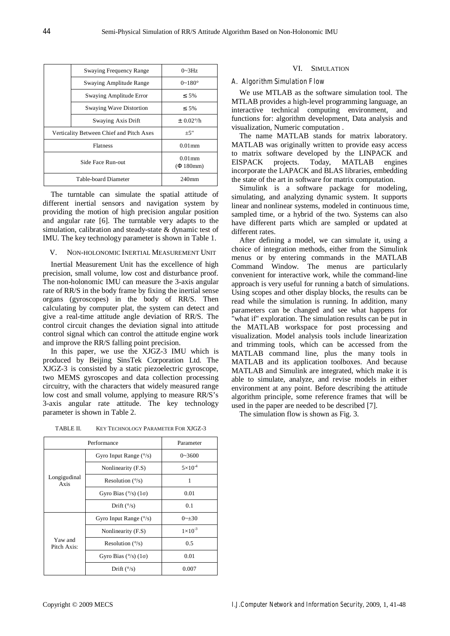|                                          | <b>Swaying Frequency Range</b> | $0 \sim 3 Hz$       |
|------------------------------------------|--------------------------------|---------------------|
|                                          | Swaying Amplitude Range        | $0 - 180^{\circ}$   |
|                                          | Swaying Amplitude Error        | 5%                  |
|                                          | <b>Swaying Wave Distortion</b> | 5%                  |
|                                          | Swaying Axis Drift             | $\pm$ 0.02% h       |
| Verticality Between Chief and Pitch Axes |                                | $+5$                |
| <b>Flatness</b>                          |                                | $0.01$ mm           |
| Side Face Run-out                        |                                | $0.01$ mm<br>180mm) |
| Table-board Diameter                     |                                | $240$ mm            |

The turntable can simulate the spatial attitude of different inertial sensors and navigation system by providing the motion of high precision angular position and angular rate [6]. The turntable very adapts to the simulation, calibration and steady-state & dynamic test of IMU. The key technology parameter is shown in Table 1.

# V. NON-HOLONOMIC INERTIAL MEASUREMENT UNIT

Inertial Measurement Unit has the excellence of high precision, small volume, low cost and disturbance proof. The non-holonomic IMU can measure the 3-axis angular rate of RR/S in the body frame by fixing the inertial sense organs (gyroscopes) in the body of RR/S. Then calculating by computer plat, the system can detect and give a real-time attitude angle deviation of RR/S. The control circuit changes the deviation signal into attitude control signal which can control the attitude engine work and improve the RR/S falling point precision.

In this paper, we use the XJGZ-3 IMU which is produced by Beijing SinsTek Corporation Ltd. The XJGZ-3 is consisted by a static piezoelectric gyroscope, two MEMS gyroscopes and data collection processing circuitry, with the characters that widely measured range low cost and small volume, applying to measure RR/S's 3-axis angular rate attitude. The key technology parameter is shown in Table 2.

simulating, and analyzing dynamic system. It supports linear and nonlinear systems, modeled in continuous time, sampled time, or a hybrid of the two. Systems can also have different parts which are sampled or updated at different rates.

VI. SIMULATION

We use MTLAB as the software simulation tool. The MTLAB provides a high-level programming language, an interactive technical computing environment, and functions for: algorithm development, Data analysis and

The name MATLAB stands for matrix laboratory. MATLAB was originally written to provide easy access to matrix software developed by the LINPACK and EISPACK projects. Today, MATLAB engines incorporate the LAPACK and BLAS libraries, embedding the state of the art in software for matrix computation. Simulink is a software package for modeling,

*A. Algorithm Simulation Flow* 

visualization, Numeric computation .

After defining a model, we can simulate it, using a choice of integration methods, either from the Simulink menus or by entering commands in the MATLAB Command Window. The menus are particularly convenient for interactive work, while the command-line approach is very useful for running a batch of simulations. Using scopes and other display blocks, the results can be read while the simulation is running. In addition, many parameters can be changed and see what happens for "what if" exploration. The simulation results can be put in the MATLAB workspace for post processing and visualization. Model analysis tools include linearization and trimming tools, which can be accessed from the MATLAB command line, plus the many tools in MATLAB and its application toolboxes. And because MATLAB and Simulink are integrated, which make it is able to simulate, analyze, and revise models in either environment at any point. Before describing the attitude algorithm principle, some reference frames that will be used in the paper are needed to be described [7].

The simulation flow is shown as Fig. 3.

| Performance            |                                 | Parameter          |
|------------------------|---------------------------------|--------------------|
| Longigudinal<br>Axis   | Gyro Input Range $(^{\circ}/s)$ | $0 - 3600$         |
|                        | Nonlinearity (F.S)              | $5\times10^4$      |
|                        | Resolution $(\frac{\circ}{s})$  | 1                  |
|                        | Gyro Bias $(^{\circ}/s)$ (1)    | 0.01               |
|                        | Drift $(^{\circ}/s)$            | 0.1                |
|                        | Gyro Input Range $(^{\circ}/s)$ | $0 \sim +30$       |
| Yaw and<br>Pitch Axis: | Nonlinearity (F.S)              | $1 \times 10^{-3}$ |
|                        | Resolution $(\frac{\circ}{s})$  | 0.5                |
|                        | Gyro Bias $(^{\circ}/s)$ (1)    | 0.01               |
|                        | Drift $(^{\circ}/s)$            | 0.007              |

TABLE II. KEY TECHNOLOGY PARAMETER FOR XJGZ-3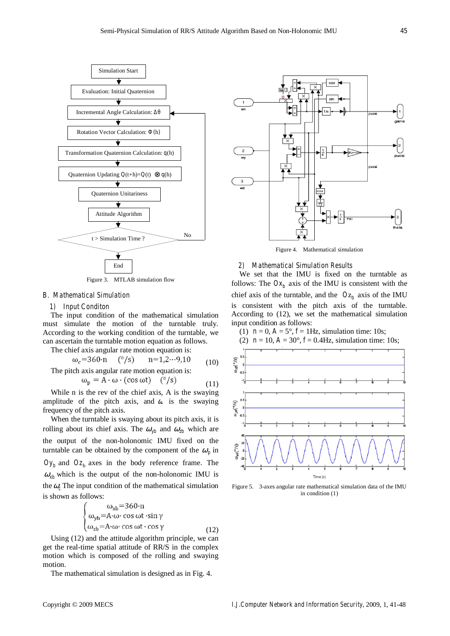

Figure 3. MTLAB simulation flow

# *B. Mathematical Simulation*

#### *1) Input Conditon*

The input condition of the mathematical simulation must simulate the motion of the turntable truly. According to the working condition of the turntable, we can ascertain the turntable motion equation as follows.

The chief axis angular rate motion equation is:

$$
\omega_c
$$
=360·n (°/s) n=1,2...9,10 (10)  
The pitch axis angular rate motion equation is:

$$
\omega_{\mathbf{p}} = \mathbf{A} \cdot \boldsymbol{\omega} \cdot (\cos \omega t) \quad (\degree / s) \tag{11}
$$

While n is the rev of the chief axis, A is the swaying amplitude of the pitch axis, and  $\alpha$  is the swaying frequency of the pitch axis.

When the turntable is swaying about its pitch axis, it is rolling about its chief axis. The  $\omega_{yb}$  and  $\omega_{zb}$  which are the output of the non-holonomic IMU fixed on the turntable can be obtained by the component of the  $\omega_p$  in  $Oy_b$  and  $Oz_b$  axes in the body reference frame. The  $\omega_{xb}$  which is the output of the non-holonomic IMU is the  $\omega_c$ . The input condition of the mathematical simulation is shown as follows:

$$
\begin{cases}\n\omega_{xb} = 360 \cdot n \\
\omega_{yb} = A \cdot \omega \cdot \cos \omega t \cdot \sin \gamma \\
\omega_{zb} = A \cdot \omega \cdot \cos \omega t \cdot \cos \gamma\n\end{cases}
$$
\n(12)

Using (12) and the attitude algorithm principle, we can get the real-time spatial attitude of RR/S in the complex motion which is composed of the rolling and swaying motion.

The mathematical simulation is designed as in Fig. 4.



# *2) Mathematical Simulation Results*

We set that the IMU is fixed on the turntable as follows: The  $Ox_b$  axis of the IMU is consistent with the chief axis of the turntable, and the  $Oz<sub>b</sub>$  axis of the IMU is consistent with the pitch axis of the turntable. According to (12), we set the mathematical simulation input condition as follows:



Figure 5. 3-axes angular rate mathematical simulation data of the IMU in condition (1)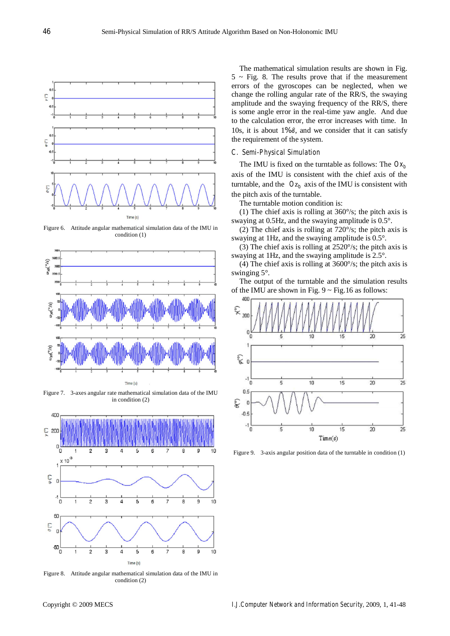

Figure 6. Attitude angular mathematical simulation data of the IMU in condition (1)



Figure 7. 3-axes angular rate mathematical simulation data of the IMU in condition (2)



Figure 8. Attitude angular mathematical simulation data of the IMU in condition (2)

The mathematical simulation results are shown in Fig.  $5 \sim$  Fig. 8. The results prove that if the measurement errors of the gyroscopes can be neglected, when we change the rolling angular rate of the RR/S, the swaying amplitude and the swaying frequency of the RR/S, there is some angle error in the real-time yaw angle. And due to the calculation error, the error increases with time. In 10s, it is about 1‰°, and we consider that it can satisfy the requirement of the system.

#### *C. Semi-Physical Simulation*

The IMU is fixed on the turntable as follows: The  $Ox<sub>b</sub>$ axis of the IMU is consistent with the chief axis of the turntable, and the  $Oz_b$  axis of the IMU is consistent with the pitch axis of the turntable.

The turntable motion condition is:

(1) The chief axis is rolling at 360°/s; the pitch axis is swaying at 0.5Hz, and the swaying amplitude is 0.5°.

(2) The chief axis is rolling at 720°/s; the pitch axis is swaying at 1Hz, and the swaying amplitude is 0.5°.

(3) The chief axis is rolling at 2520°/s; the pitch axis is swaying at 1Hz, and the swaying amplitude is 2.5°.

(4) The chief axis is rolling at 3600°/s; the pitch axis is swinging 5°.

The output of the turntable and the simulation results of the IMU are shown in Fig.  $9 \sim$  Fig.16 as follows:



Figure 9. 3-axis angular position data of the turntable in condition (1)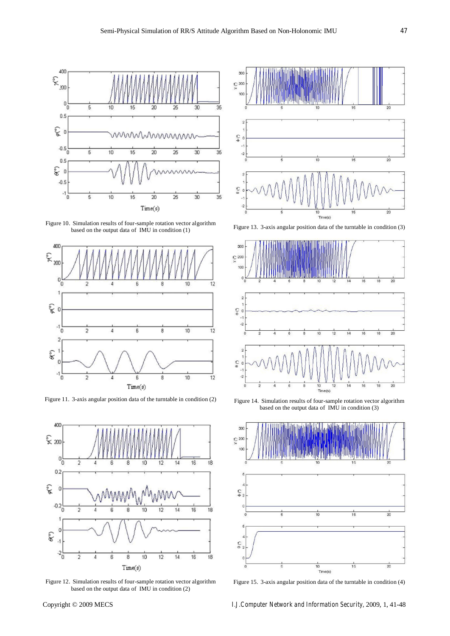

Figure 10. Simulation results of four-sample rotation vector algorithm based on the output data of IMU in condition (1)



Figure 11. 3-axis angular position data of the turntable in condition (2)



Figure 12. Simulation results of four-sample rotation vector algorithm based on the output data of IMU in condition (2)



Figure 13. 3-axis angular position data of the turntable in condition (3)



Figure 14. Simulation results of four-sample rotation vector algorithm based on the output data of IMU in condition (3)



Figure 15. 3-axis angular position data of the turntable in condition (4)